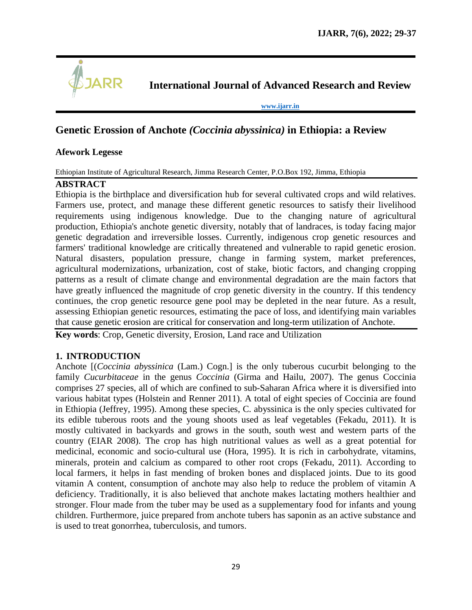

**International Journal of Advanced Research and Review**

**[www.ijarr.in](http://www.ijarr.in/)**

# **Genetic Erossion of Anchote** *(Coccinia abyssinica)* **in Ethiopia: a Review**

## **Afework Legesse**

Ethiopian Institute of Agricultural Research, Jimma Research Center, P.O.Box 192, Jimma, Ethiopia

## **ABSTRACT**

Ethiopia is the birthplace and diversification hub for several cultivated crops and wild relatives. Farmers use, protect, and manage these different genetic resources to satisfy their livelihood requirements using indigenous knowledge. Due to the changing nature of agricultural production, Ethiopia's anchote genetic diversity, notably that of landraces, is today facing major genetic degradation and irreversible losses. Currently, indigenous crop genetic resources and farmers' traditional knowledge are critically threatened and vulnerable to rapid genetic erosion. Natural disasters, population pressure, change in farming system, market preferences, agricultural modernizations, urbanization, cost of stake, biotic factors, and changing cropping patterns as a result of climate change and environmental degradation are the main factors that have greatly influenced the magnitude of crop genetic diversity in the country. If this tendency continues, the crop genetic resource gene pool may be depleted in the near future. As a result, assessing Ethiopian genetic resources, estimating the pace of loss, and identifying main variables that cause genetic erosion are critical for conservation and long-term utilization of Anchote.

**Key words**: Crop, Genetic diversity, Erosion, Land race and Utilization

#### **1. INTRODUCTION**

Anchote [(*Coccinia abyssinica* (Lam.) Cogn.] is the only tuberous cucurbit belonging to the family *Cucurbitaceae* in the genus *Coccinia* (Girma and Hailu, 2007). The genus Coccinia comprises 27 species, all of which are confined to sub-Saharan Africa where it is diversified into various habitat types (Holstein and Renner 2011). A total of eight species of Coccinia are found in Ethiopia (Jeffrey, 1995). Among these species, C. abyssinica is the only species cultivated for its edible tuberous roots and the young shoots used as leaf vegetables (Fekadu, 2011). It is mostly cultivated in backyards and grows in the south, south west and western parts of the country (EIAR 2008). The crop has high nutritional values as well as a great potential for medicinal, economic and socio-cultural use (Hora, 1995). It is rich in carbohydrate, vitamins, minerals, protein and calcium as compared to other root crops (Fekadu, 2011). According to local farmers, it helps in fast mending of broken bones and displaced joints. Due to its good vitamin A content, consumption of anchote may also help to reduce the problem of vitamin A deficiency. Traditionally, it is also believed that anchote makes lactating mothers healthier and stronger. Flour made from the tuber may be used as a supplementary food for infants and young children. Furthermore, juice prepared from anchote tubers has saponin as an active substance and is used to treat gonorrhea, tuberculosis, and tumors.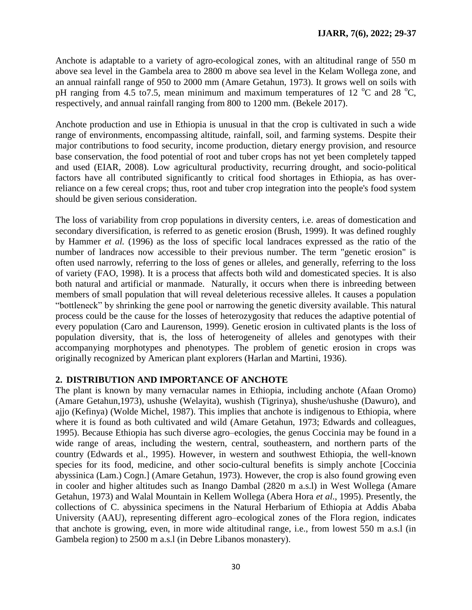Anchote is adaptable to a variety of agro-ecological zones, with an altitudinal range of 550 m above sea level in the Gambela area to 2800 m above sea level in the Kelam Wollega zone, and an annual rainfall range of 950 to 2000 mm (Amare Getahun, 1973). It grows well on soils with pH ranging from 4.5 to 7.5, mean minimum and maximum temperatures of 12  $^{\circ}$ C and 28  $^{\circ}$ C, respectively, and annual rainfall ranging from 800 to 1200 mm. (Bekele 2017).

Anchote production and use in Ethiopia is unusual in that the crop is cultivated in such a wide range of environments, encompassing altitude, rainfall, soil, and farming systems. Despite their major contributions to food security, income production, dietary energy provision, and resource base conservation, the food potential of root and tuber crops has not yet been completely tapped and used (EIAR, 2008). Low agricultural productivity, recurring drought, and socio-political factors have all contributed significantly to critical food shortages in Ethiopia, as has overreliance on a few cereal crops; thus, root and tuber crop integration into the people's food system should be given serious consideration.

The loss of variability from crop populations in diversity centers, i.e. areas of domestication and secondary diversification, is referred to as genetic erosion (Brush, 1999). It was defined roughly by Hammer *et al.* (1996) as the loss of specific local landraces expressed as the ratio of the number of landraces now accessible to their previous number. The term "genetic erosion" is often used narrowly, referring to the loss of genes or alleles, and generally, referring to the loss of variety (FAO, 1998). It is a process that affects both wild and domesticated species. It is also both natural and artificial or manmade. Naturally, it occurs when there is inbreeding between members of small population that will reveal deleterious recessive alleles. It causes a population ―bottleneck‖ by shrinking the gene pool or narrowing the genetic diversity available. This natural process could be the cause for the losses of heterozygosity that reduces the adaptive potential of every population (Caro and Laurenson, 1999). Genetic erosion in cultivated plants is the loss of population diversity, that is, the loss of heterogeneity of alleles and genotypes with their accompanying morphotypes and phenotypes. The problem of genetic erosion in crops was originally recognized by American plant explorers (Harlan and Martini, 1936).

#### **2. DISTRIBUTION AND IMPORTANCE OF ANCHOTE**

The plant is known by many vernacular names in Ethiopia, including anchote (Afaan Oromo) (Amare Getahun,1973), ushushe (Welayita), wushish (Tigrinya), shushe/ushushe (Dawuro), and ajjo (Kefinya) (Wolde Michel, 1987). This implies that anchote is indigenous to Ethiopia, where where it is found as both cultivated and wild (Amare Getahun, 1973; Edwards and colleagues, 1995). Because Ethiopia has such diverse agro–ecologies, the genus Coccinia may be found in a wide range of areas, including the western, central, southeastern, and northern parts of the country (Edwards et al., 1995). However, in western and southwest Ethiopia, the well-known species for its food, medicine, and other socio-cultural benefits is simply anchote [Coccinia abyssinica (Lam.) Cogn.] (Amare Getahun, 1973). However, the crop is also found growing even in cooler and higher altitudes such as Inango Dambal (2820 m a.s.l) in West Wollega (Amare Getahun, 1973) and Walal Mountain in Kellem Wollega (Abera Hora *et al*., 1995). Presently, the collections of C. abyssinica specimens in the Natural Herbarium of Ethiopia at Addis Ababa University (AAU), representing different agro–ecological zones of the Flora region, indicates that anchote is growing, even, in more wide altitudinal range, i.e., from lowest 550 m a.s.l (in Gambela region) to 2500 m a.s.l (in Debre Libanos monastery).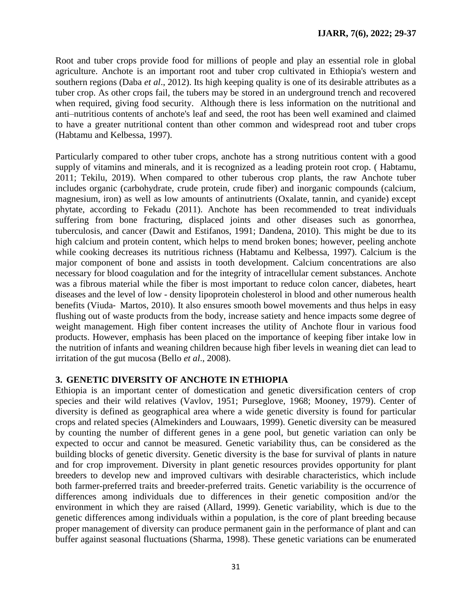Root and tuber crops provide food for millions of people and play an essential role in global agriculture. Anchote is an important root and tuber crop cultivated in Ethiopia's western and southern regions (Daba *et al*., 2012). Its high keeping quality is one of its desirable attributes as a tuber crop. As other crops fail, the tubers may be stored in an underground trench and recovered when required, giving food security. Although there is less information on the nutritional and anti–nutritious contents of anchote's leaf and seed, the root has been well examined and claimed to have a greater nutritional content than other common and widespread root and tuber crops (Habtamu and Kelbessa, 1997).

Particularly compared to other tuber crops, anchote has a strong nutritious content with a good supply of vitamins and minerals, and it is recognized as a leading protein root crop. ( Habtamu, 2011; Tekilu, 2019). When compared to other tuberous crop plants, the raw Anchote tuber includes organic (carbohydrate, crude protein, crude fiber) and inorganic compounds (calcium, magnesium, iron) as well as low amounts of antinutrients (Oxalate, tannin, and cyanide) except phytate, according to Fekadu (2011). Anchote has been recommended to treat individuals suffering from bone fracturing, displaced joints and other diseases such as gonorrhea, tuberculosis, and cancer (Dawit and Estifanos, 1991; Dandena, 2010). This might be due to its high calcium and protein content, which helps to mend broken bones; however, peeling anchote while cooking decreases its nutritious richness (Habtamu and Kelbessa, 1997). Calcium is the major component of bone and assists in tooth development. Calcium concentrations are also necessary for blood coagulation and for the integrity of intracellular cement substances. Anchote was a fibrous material while the fiber is most important to reduce colon cancer, diabetes, heart diseases and the level of low - density lipoprotein cholesterol in blood and other numerous health benefits (Viuda- Martos, 2010). It also ensures smooth bowel movements and thus helps in easy flushing out of waste products from the body, increase satiety and hence impacts some degree of weight management. High fiber content increases the utility of Anchote flour in various food products. However, emphasis has been placed on the importance of keeping fiber intake low in the nutrition of infants and weaning children because high fiber levels in weaning diet can lead to irritation of the gut mucosa (Bello *et al*., 2008).

#### **3. GENETIC DIVERSITY OF ANCHOTE IN ETHIOPIA**

Ethiopia is an important center of domestication and genetic diversification centers of crop species and their wild relatives (Vavlov, 1951; Purseglove, 1968; Mooney, 1979). Center of diversity is defined as geographical area where a wide genetic diversity is found for particular crops and related species (Almekinders and Louwaars, 1999). Genetic diversity can be measured by counting the number of different genes in a gene pool, but genetic variation can only be expected to occur and cannot be measured. Genetic variability thus, can be considered as the building blocks of genetic diversity. Genetic diversity is the base for survival of plants in nature and for crop improvement. Diversity in plant genetic resources provides opportunity for plant breeders to develop new and improved cultivars with desirable characteristics, which include both farmer-preferred traits and breeder-preferred traits. Genetic variability is the occurrence of differences among individuals due to differences in their genetic composition and/or the environment in which they are raised (Allard, 1999). Genetic variability, which is due to the genetic differences among individuals within a population, is the core of plant breeding because proper management of diversity can produce permanent gain in the performance of plant and can buffer against seasonal fluctuations (Sharma, 1998). These genetic variations can be enumerated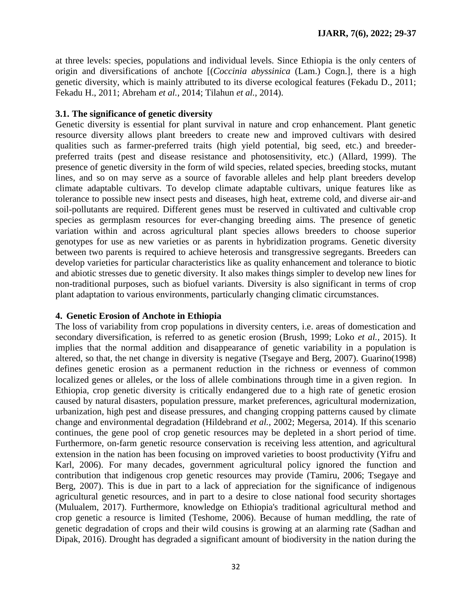at three levels: species, populations and individual levels. Since Ethiopia is the only centers of origin and diversifications of anchote [(*Coccinia abyssinica* (Lam.) Cogn.]*,* there is a high genetic diversity, which is mainly attributed to its diverse ecological features (Fekadu D., 2011; Fekadu H., 2011; Abreham *et al.,* 2014; Tilahun *et al.*, 2014).

## **3.1. The significance of genetic diversity**

Genetic diversity is essential for plant survival in nature and crop enhancement. Plant genetic resource diversity allows plant breeders to create new and improved cultivars with desired qualities such as farmer-preferred traits (high yield potential, big seed, etc.) and breederpreferred traits (pest and disease resistance and photosensitivity, etc.) (Allard, 1999). The presence of genetic diversity in the form of wild species, related species, breeding stocks, mutant lines, and so on may serve as a source of favorable alleles and help plant breeders develop climate adaptable cultivars. To develop climate adaptable cultivars, unique features like as tolerance to possible new insect pests and diseases, high heat, extreme cold, and diverse air-and soil-pollutants are required. Different genes must be reserved in cultivated and cultivable crop species as germplasm resources for ever-changing breeding aims. The presence of genetic variation within and across agricultural plant species allows breeders to choose superior genotypes for use as new varieties or as parents in hybridization programs. Genetic diversity between two parents is required to achieve heterosis and transgressive segregants. Breeders can develop varieties for particular characteristics like as quality enhancement and tolerance to biotic and abiotic stresses due to genetic diversity. It also makes things simpler to develop new lines for non-traditional purposes, such as biofuel variants. Diversity is also significant in terms of crop plant adaptation to various environments, particularly changing climatic circumstances.

# **4. Genetic Erosion of Anchote in Ethiopia**

The loss of variability from crop populations in diversity centers, i.e. areas of domestication and secondary diversification, is referred to as genetic erosion (Brush, 1999; Loko *et al.,* 2015). It implies that the normal addition and disappearance of genetic variability in a population is altered, so that, the net change in diversity is negative (Tsegaye and Berg, 2007). Guarino(1998) defines genetic erosion as a permanent reduction in the richness or evenness of common localized genes or alleles, or the loss of allele combinations through time in a given region. In Ethiopia, crop genetic diversity is critically endangered due to a high rate of genetic erosion caused by natural disasters, population pressure, market preferences, agricultural modernization, urbanization, high pest and disease pressures, and changing cropping patterns caused by climate change and environmental degradation (Hildebrand *et al.,* 2002; Megersa, 2014). If this scenario continues, the gene pool of crop genetic resources may be depleted in a short period of time. Furthermore, on-farm genetic resource conservation is receiving less attention, and agricultural extension in the nation has been focusing on improved varieties to boost productivity (Yifru and Karl, 2006). For many decades, government agricultural policy ignored the function and contribution that indigenous crop genetic resources may provide (Tamiru, 2006; Tsegaye and Berg, 2007). This is due in part to a lack of appreciation for the significance of indigenous agricultural genetic resources, and in part to a desire to close national food security shortages (Mulualem, 2017). Furthermore, knowledge on Ethiopia's traditional agricultural method and crop genetic a resource is limited (Teshome, 2006). Because of human meddling, the rate of genetic degradation of crops and their wild cousins is growing at an alarming rate (Sadhan and Dipak, 2016). Drought has degraded a significant amount of biodiversity in the nation during the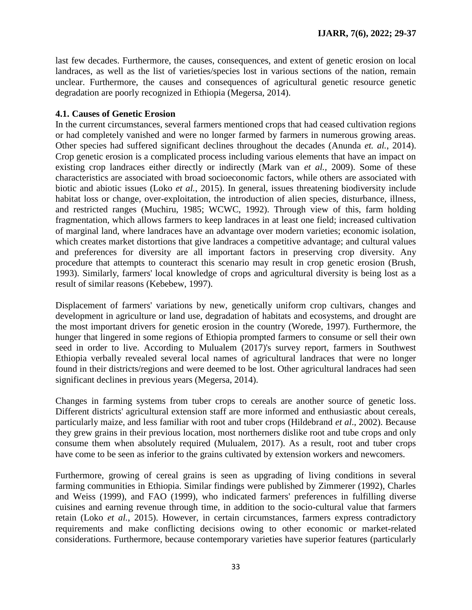last few decades. Furthermore, the causes, consequences, and extent of genetic erosion on local landraces, as well as the list of varieties/species lost in various sections of the nation, remain unclear. Furthermore, the causes and consequences of agricultural genetic resource genetic degradation are poorly recognized in Ethiopia (Megersa, 2014).

## **4.1. Causes of Genetic Erosion**

In the current circumstances, several farmers mentioned crops that had ceased cultivation regions or had completely vanished and were no longer farmed by farmers in numerous growing areas. Other species had suffered significant declines throughout the decades (Anunda *et. al.*, 2014). Crop genetic erosion is a complicated process including various elements that have an impact on existing crop landraces either directly or indirectly (Mark van *et al.,* 2009). Some of these characteristics are associated with broad socioeconomic factors, while others are associated with biotic and abiotic issues (Loko *et al.*, 2015). In general, issues threatening biodiversity include habitat loss or change, over-exploitation, the introduction of alien species, disturbance, illness, and restricted ranges (Muchiru, 1985; WCWC, 1992). Through view of this, farm holding fragmentation, which allows farmers to keep landraces in at least one field; increased cultivation of marginal land, where landraces have an advantage over modern varieties; economic isolation, which creates market distortions that give landraces a competitive advantage; and cultural values and preferences for diversity are all important factors in preserving crop diversity. Any procedure that attempts to counteract this scenario may result in crop genetic erosion (Brush, 1993). Similarly, farmers' local knowledge of crops and agricultural diversity is being lost as a result of similar reasons (Kebebew, 1997).

Displacement of farmers' variations by new, genetically uniform crop cultivars, changes and development in agriculture or land use, degradation of habitats and ecosystems, and drought are the most important drivers for genetic erosion in the country (Worede, 1997). Furthermore, the hunger that lingered in some regions of Ethiopia prompted farmers to consume or sell their own seed in order to live. According to Mulualem (2017)'s survey report, farmers in Southwest Ethiopia verbally revealed several local names of agricultural landraces that were no longer found in their districts/regions and were deemed to be lost. Other agricultural landraces had seen significant declines in previous years (Megersa, 2014).

Changes in farming systems from tuber crops to cereals are another source of genetic loss. Different districts' agricultural extension staff are more informed and enthusiastic about cereals, particularly maize, and less familiar with root and tuber crops (Hildebrand *et al*., 2002). Because they grew grains in their previous location, most northerners dislike root and tube crops and only consume them when absolutely required (Mulualem, 2017). As a result, root and tuber crops have come to be seen as inferior to the grains cultivated by extension workers and newcomers.

Furthermore, growing of cereal grains is seen as upgrading of living conditions in several farming communities in Ethiopia. Similar findings were published by Zimmerer (1992), Charles and Weiss (1999), and FAO (1999), who indicated farmers' preferences in fulfilling diverse cuisines and earning revenue through time, in addition to the socio-cultural value that farmers retain (Loko *et al.*, 2015). However, in certain circumstances, farmers express contradictory requirements and make conflicting decisions owing to other economic or market-related considerations. Furthermore, because contemporary varieties have superior features (particularly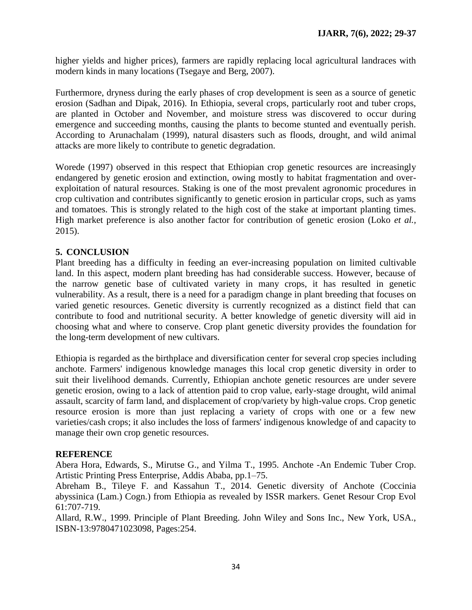higher yields and higher prices), farmers are rapidly replacing local agricultural landraces with modern kinds in many locations (Tsegaye and Berg, 2007).

Furthermore, dryness during the early phases of crop development is seen as a source of genetic erosion (Sadhan and Dipak, 2016). In Ethiopia, several crops, particularly root and tuber crops, are planted in October and November, and moisture stress was discovered to occur during emergence and succeeding months, causing the plants to become stunted and eventually perish. According to Arunachalam (1999), natural disasters such as floods, drought, and wild animal attacks are more likely to contribute to genetic degradation.

Worede (1997) observed in this respect that Ethiopian crop genetic resources are increasingly endangered by genetic erosion and extinction, owing mostly to habitat fragmentation and overexploitation of natural resources. Staking is one of the most prevalent agronomic procedures in crop cultivation and contributes significantly to genetic erosion in particular crops, such as yams and tomatoes. This is strongly related to the high cost of the stake at important planting times. High market preference is also another factor for contribution of genetic erosion (Loko *et al.,* 2015).

# **5. CONCLUSION**

Plant breeding has a difficulty in feeding an ever-increasing population on limited cultivable land. In this aspect, modern plant breeding has had considerable success. However, because of the narrow genetic base of cultivated variety in many crops, it has resulted in genetic vulnerability. As a result, there is a need for a paradigm change in plant breeding that focuses on varied genetic resources. Genetic diversity is currently recognized as a distinct field that can contribute to food and nutritional security. A better knowledge of genetic diversity will aid in choosing what and where to conserve. Crop plant genetic diversity provides the foundation for the long-term development of new cultivars.

Ethiopia is regarded as the birthplace and diversification center for several crop species including anchote. Farmers' indigenous knowledge manages this local crop genetic diversity in order to suit their livelihood demands. Currently, Ethiopian anchote genetic resources are under severe genetic erosion, owing to a lack of attention paid to crop value, early-stage drought, wild animal assault, scarcity of farm land, and displacement of crop/variety by high-value crops. Crop genetic resource erosion is more than just replacing a variety of crops with one or a few new varieties/cash crops; it also includes the loss of farmers' indigenous knowledge of and capacity to manage their own crop genetic resources.

#### **REFERENCE**

Abera Hora, Edwards, S., Mirutse G., and Yilma T., 1995. Anchote -An Endemic Tuber Crop. Artistic Printing Press Enterprise, Addis Ababa, pp.1–75.

Abreham B., Tileye F. and Kassahun T., 2014. Genetic diversity of Anchote (Coccinia abyssinica (Lam.) Cogn.) from Ethiopia as revealed by ISSR markers. Genet Resour Crop Evol 61:707-719.

Allard, R.W., 1999. Principle of Plant Breeding. John Wiley and Sons Inc., New York, USA., ISBN-13:9780471023098, Pages:254.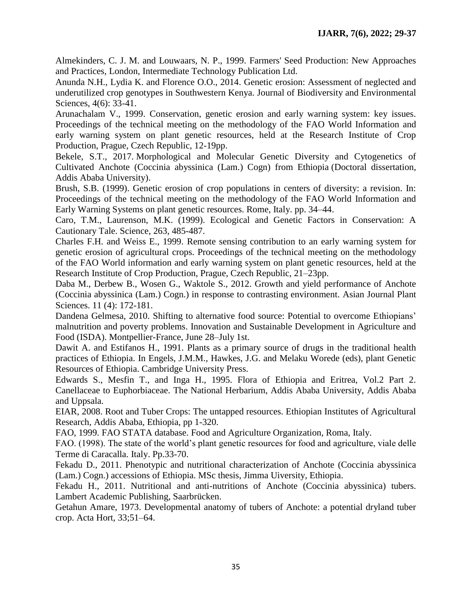Almekinders, C. J. M. and Louwaars, N. P., 1999. Farmers' Seed Production: New Approaches and Practices, London, Intermediate Technology Publication Ltd.

Anunda N.H., Lydia K. and Florence O.O., 2014. Genetic erosion: Assessment of neglected and underutilized crop genotypes in Southwestern Kenya. Journal of Biodiversity and Environmental Sciences, 4(6): 33-41.

Arunachalam V., 1999. Conservation, genetic erosion and early warning system: key issues. Proceedings of the technical meeting on the methodology of the FAO World Information and early warning system on plant genetic resources, held at the Research Institute of Crop Production, Prague, Czech Republic, 12-19pp.

Bekele, S.T., 2017. Morphological and Molecular Genetic Diversity and Cytogenetics of Cultivated Anchote (Coccinia abyssinica (Lam.) Cogn) from Ethiopia (Doctoral dissertation, Addis Ababa University).

Brush, S.B. (1999). Genetic erosion of crop populations in centers of diversity: a revision. In: Proceedings of the technical meeting on the methodology of the FAO World Information and Early Warning Systems on plant genetic resources. Rome, Italy. pp. 34–44.

Caro, T.M., Laurenson, M.K. (1999). Ecological and Genetic Factors in Conservation: A Cautionary Tale. Science, 263, 485-487.

Charles F.H. and Weiss E., 1999. Remote sensing contribution to an early warning system for genetic erosion of agricultural crops. Proceedings of the technical meeting on the methodology of the FAO World information and early warning system on plant genetic resources, held at the Research Institute of Crop Production, Prague, Czech Republic, 21–23pp.

Daba M., Derbew B., Wosen G., Waktole S., 2012. Growth and yield performance of Anchote (Coccinia abyssinica (Lam.) Cogn.) in response to contrasting environment. Asian Journal Plant Sciences. 11 (4): 172-181.

Dandena Gelmesa, 2010. Shifting to alternative food source: Potential to overcome Ethiopians' malnutrition and poverty problems. Innovation and Sustainable Development in Agriculture and Food (ISDA). Montpellier-France, June 28–July 1st.

Dawit A. and Estifanos H., 1991. Plants as a primary source of drugs in the traditional health practices of Ethiopia. In Engels, J.M.M., Hawkes, J.G. and Melaku Worede (eds), plant Genetic Resources of Ethiopia. Cambridge University Press.

Edwards S., Mesfin T., and Inga H., 1995. Flora of Ethiopia and Eritrea, Vol.2 Part 2. Canellaceae to Euphorbiaceae. The National Herbarium, Addis Ababa University, Addis Ababa and Uppsala.

EIAR, 2008. Root and Tuber Crops: The untapped resources. Ethiopian Institutes of Agricultural Research, Addis Ababa, Ethiopia, pp 1-320.

FAO, 1999. FAO STATA database. Food and Agriculture Organization, Roma, Italy.

FAO. (1998). The state of the world's plant genetic resources for food and agriculture, viale delle Terme di Caracalla. Italy. Pp.33-70.

Fekadu D., 2011. Phenotypic and nutritional characterization of Anchote (Coccinia abyssinica (Lam.) Cogn.) accessions of Ethiopia. MSc thesis, Jimma Uiversity, Ethiopia.

Fekadu H., 2011. Nutritional and anti-nutritions of Anchote (Coccinia abyssinica) tubers. Lambert Academic Publishing, Saarbrücken.

Getahun Amare, 1973. Developmental anatomy of tubers of Anchote: a potential dryland tuber crop. Acta Hort, 33;51–64.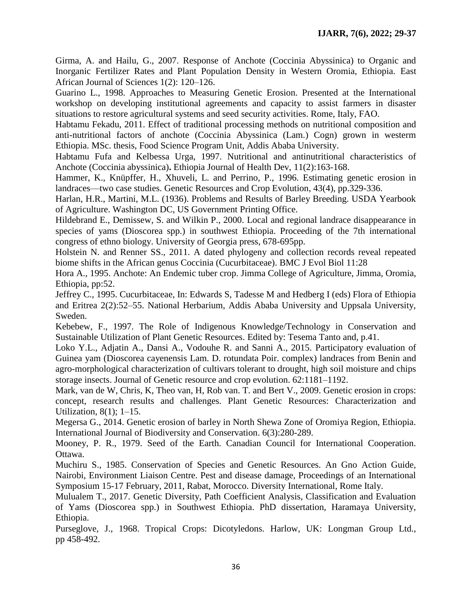Girma, A. and Hailu, G., 2007. Response of Anchote (Coccinia Abyssinica) to Organic and Inorganic Fertilizer Rates and Plant Population Density in Western Oromia, Ethiopia. East African Journal of Sciences 1(2): 120–126.

Guarino L., 1998. Approaches to Measuring Genetic Erosion. Presented at the International workshop on developing institutional agreements and capacity to assist farmers in disaster situations to restore agricultural systems and seed security activities. Rome, Italy, FAO.

Habtamu Fekadu, 2011. Effect of traditional processing methods on nutritional composition and anti-nutritional factors of anchote (Coccinia Abyssinica (Lam.) Cogn) grown in westerm Ethiopia. MSc. thesis, Food Science Program Unit, Addis Ababa University.

Habtamu Fufa and Kelbessa Urga, 1997. Nutritional and antinutritional characteristics of Anchote (Coccinia abyssinica)**.** Ethiopia Journal of Health Dev, 11(2):163-168.

Hammer, K., Knüpffer, H., Xhuveli, L. and Perrino, P., 1996. Estimating genetic erosion in landraces—two case studies. Genetic Resources and Crop Evolution, 43(4), pp.329-336.

Harlan, H.R., Martini, M.L. (1936). Problems and Results of Barley Breeding. USDA Yearbook of Agriculture. Washington DC, US Government Printing Office.

Hildebrand E., Demissew, S. and Wilkin P., 2000. Local and regional landrace disappearance in species of yams (Dioscorea spp.) in southwest Ethiopia. Proceeding of the 7th international congress of ethno biology. University of Georgia press, 678-695pp.

Holstein N. and Renner SS., 2011. A dated phylogeny and collection records reveal repeated biome shifts in the African genus Coccinia (Cucurbitaceae). BMC J Evol Biol 11:28

Hora A., 1995. Anchote: An Endemic tuber crop. Jimma College of Agriculture, Jimma, Oromia, Ethiopia, pp:52.

Jeffrey C., 1995. Cucurbitaceae, In: Edwards S, Tadesse M and Hedberg I (eds) Flora of Ethiopia and Eritrea 2(2):52–55. National Herbarium, Addis Ababa University and Uppsala University, Sweden.

Kebebew, F., 1997. The Role of Indigenous Knowledge/Technology in Conservation and Sustainable Utilization of Plant Genetic Resources. Edited by: Tesema Tanto and, p.41.

Loko Y.L., Adjatin A., Dansi A., Vodouhe R. and Sanni A., 2015. Participatory evaluation of Guinea yam (Dioscorea cayenensis Lam. D. rotundata Poir. complex) landraces from Benin and agro-morphological characterization of cultivars tolerant to drought, high soil moisture and chips storage insects. Journal of Genetic resource and crop evolution. 62:1181–1192.

Mark, van de W, Chris, K, Theo van, H, Rob van. T. and Bert V., 2009. Genetic erosion in crops: concept, research results and challenges. Plant Genetic Resources: Characterization and Utilization, 8(1); 1–15.

Megersa G., 2014. Genetic erosion of barley in North Shewa Zone of Oromiya Region, Ethiopia. International Journal of Biodiversity and Conservation. 6(3):280-289.

Mooney, P. R., 1979. Seed of the Earth. Canadian Council for International Cooperation. Ottawa.

Muchiru S., 1985. Conservation of Species and Genetic Resources. An Gno Action Guide, Nairobi, Environment Liaison Centre. Pest and disease damage, Proceedings of an International Symposium 15-17 February, 2011, Rabat, Morocco. Diversity International, Rome Italy.

Mulualem T., 2017. Genetic Diversity, Path Coefficient Analysis, Classification and Evaluation of Yams (Dioscorea spp.) in Southwest Ethiopia. PhD dissertation, Haramaya University, Ethiopia.

Purseglove, J., 1968. Tropical Crops: Dicotyledons. Harlow, UK: Longman Group Ltd., pp 458-492.